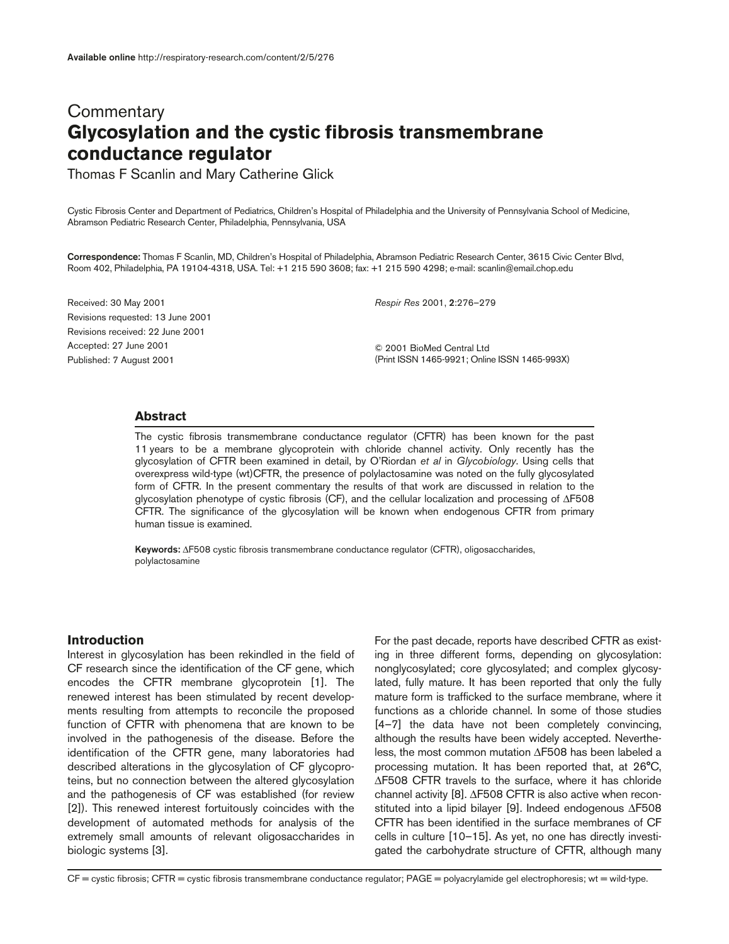# **Commentary Glycosylation and the cystic fibrosis transmembrane conductance regulator**

Thomas F Scanlin and Mary Catherine Glick

Cystic Fibrosis Center and Department of Pediatrics, Children's Hospital of Philadelphia and the University of Pennsylvania School of Medicine, Abramson Pediatric Research Center, Philadelphia, Pennsylvania, USA

**Correspondence:** Thomas F Scanlin, MD, Children's Hospital of Philadelphia, Abramson Pediatric Research Center, 3615 Civic Center Blvd, Room 402, Philadelphia, PA 19104-4318, USA. Tel: +1 215 590 3608; fax: +1 215 590 4298; e-mail: scanlin@email.chop.edu

Received: 30 May 2001 Revisions requested: 13 June 2001 Revisions received: 22 June 2001 Accepted: 27 June 2001 Published: 7 August 2001

*Respir Res* 2001, **2**:276–279

© 2001 BioMed Central Ltd (Print ISSN 1465-9921; Online ISSN 1465-993X)

#### **Abstract**

The cystic fibrosis transmembrane conductance regulator (CFTR) has been known for the past 11 years to be a membrane glycoprotein with chloride channel activity. Only recently has the glycosylation of CFTR been examined in detail, by O'Riordan *et al* in *Glycobiology*. Using cells that overexpress wild-type (wt)CFTR, the presence of polylactosamine was noted on the fully glycosylated form of CFTR. In the present commentary the results of that work are discussed in relation to the glycosylation phenotype of cystic fibrosis (CF), and the cellular localization and processing of ∆F508 CFTR. The significance of the glycosylation will be known when endogenous CFTR from primary human tissue is examined.

**Keywords:** ∆F508 cystic fibrosis transmembrane conductance regulator (CFTR), oligosaccharides, polylactosamine

### **Introduction**

Interest in glycosylation has been rekindled in the field of CF research since the identification of the CF gene, which encodes the CFTR membrane glycoprotein [1]. The renewed interest has been stimulated by recent developments resulting from attempts to reconcile the proposed function of CFTR with phenomena that are known to be involved in the pathogenesis of the disease. Before the identification of the CFTR gene, many laboratories had described alterations in the glycosylation of CF glycoproteins, but no connection between the altered glycosylation and the pathogenesis of CF was established (for review [2]). This renewed interest fortuitously coincides with the development of automated methods for analysis of the extremely small amounts of relevant oligosaccharides in biologic systems [3].

For the past decade, reports have described CFTR as existing in three different forms, depending on glycosylation: nonglycosylated; core glycosylated; and complex glycosylated, fully mature. It has been reported that only the fully mature form is trafficked to the surface membrane, where it functions as a chloride channel. In some of those studies [4–7] the data have not been completely convincing, although the results have been widely accepted. Nevertheless, the most common mutation ∆F508 has been labeled a processing mutation. It has been reported that, at 26°C, ∆F508 CFTR travels to the surface, where it has chloride channel activity [8]. ∆F508 CFTR is also active when reconstituted into a lipid bilayer [9]. Indeed endogenous ∆F508 CFTR has been identified in the surface membranes of CF cells in culture [10–15]. As yet, no one has directly investigated the carbohydrate structure of CFTR, although many

CF = cystic fibrosis; CFTR = cystic fibrosis transmembrane conductance regulator; PAGE = polyacrylamide gel electrophoresis; wt = wild-type.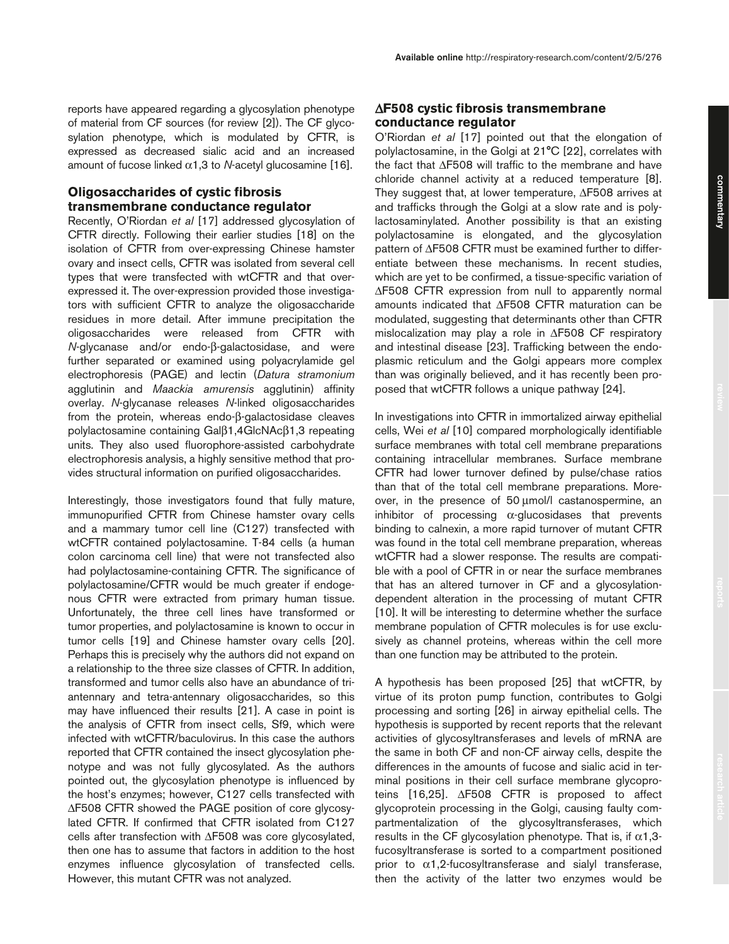reports have appeared regarding a glycosylation phenotype of material from CF sources (for review [2]). The CF glycosylation phenotype, which is modulated by CFTR, is expressed as decreased sialic acid and an increased amount of fucose linked α1,3 to *N*-acetyl glucosamine [16].

## **Oligosaccharides of cystic fibrosis transmembrane conductance regulator**

Recently, O'Riordan *et al* [17] addressed glycosylation of CFTR directly. Following their earlier studies [18] on the isolation of CFTR from over-expressing Chinese hamster ovary and insect cells, CFTR was isolated from several cell types that were transfected with wtCFTR and that overexpressed it. The over-expression provided those investigators with sufficient CFTR to analyze the oligosaccharide residues in more detail. After immune precipitation the oligosaccharides were released from CFTR with *N*-glycanase and/or endo-β-galactosidase, and were further separated or examined using polyacrylamide gel electrophoresis (PAGE) and lectin (*Datura stramonium* agglutinin and *Maackia amurensis* agglutinin) affinity overlay. *N*-glycanase releases *N*-linked oligosaccharides from the protein, whereas endo-β-galactosidase cleaves polylactosamine containing Galβ1,4GlcNAcβ1,3 repeating units. They also used fluorophore-assisted carbohydrate electrophoresis analysis, a highly sensitive method that provides structural information on purified oligosaccharides.

Interestingly, those investigators found that fully mature, immunopurified CFTR from Chinese hamster ovary cells and a mammary tumor cell line (C127) transfected with wtCFTR contained polylactosamine. T-84 cells (a human colon carcinoma cell line) that were not transfected also had polylactosamine-containing CFTR. The significance of polylactosamine/CFTR would be much greater if endogenous CFTR were extracted from primary human tissue. Unfortunately, the three cell lines have transformed or tumor properties, and polylactosamine is known to occur in tumor cells [19] and Chinese hamster ovary cells [20]. Perhaps this is precisely why the authors did not expand on a relationship to the three size classes of CFTR. In addition, transformed and tumor cells also have an abundance of triantennary and tetra-antennary oligosaccharides, so this may have influenced their results [21]. A case in point is the analysis of CFTR from insect cells, Sf9, which were infected with wtCFTR/baculovirus. In this case the authors reported that CFTR contained the insect glycosylation phenotype and was not fully glycosylated. As the authors pointed out, the glycosylation phenotype is influenced by the host's enzymes; however, C127 cells transfected with ∆F508 CFTR showed the PAGE position of core glycosylated CFTR. If confirmed that CFTR isolated from C127 cells after transfection with ∆F508 was core glycosylated, then one has to assume that factors in addition to the host enzymes influence glycosylation of transfected cells. However, this mutant CFTR was not analyzed.

# ∆**F508 cystic fibrosis transmembrane conductance regulator**

O'Riordan *et al* [17] pointed out that the elongation of polylactosamine, in the Golgi at 21°C [22], correlates with the fact that ∆F508 will traffic to the membrane and have chloride channel activity at a reduced temperature [8]. They suggest that, at lower temperature, ∆F508 arrives at and trafficks through the Golgi at a slow rate and is polylactosaminylated. Another possibility is that an existing polylactosamine is elongated, and the glycosylation pattern of ∆F508 CFTR must be examined further to differentiate between these mechanisms. In recent studies, which are yet to be confirmed, a tissue-specific variation of ∆F508 CFTR expression from null to apparently normal amounts indicated that ∆F508 CFTR maturation can be modulated, suggesting that determinants other than CFTR mislocalization may play a role in ∆F508 CF respiratory and intestinal disease [23]. Trafficking between the endoplasmic reticulum and the Golgi appears more complex than was originally believed, and it has recently been proposed that wtCFTR follows a unique pathway [24].

In investigations into CFTR in immortalized airway epithelial cells, Wei *et al* [10] compared morphologically identifiable surface membranes with total cell membrane preparations containing intracellular membranes. Surface membrane CFTR had lower turnover defined by pulse/chase ratios than that of the total cell membrane preparations. Moreover, in the presence of 50 µmol/l castanospermine, an inhibitor of processing  $\alpha$ -glucosidases that prevents binding to calnexin, a more rapid turnover of mutant CFTR was found in the total cell membrane preparation, whereas wtCFTR had a slower response. The results are compatible with a pool of CFTR in or near the surface membranes that has an altered turnover in CF and a glycosylationdependent alteration in the processing of mutant CFTR [10]. It will be interesting to determine whether the surface membrane population of CFTR molecules is for use exclusively as channel proteins, whereas within the cell more than one function may be attributed to the protein.

A hypothesis has been proposed [25] that wtCFTR, by virtue of its proton pump function, contributes to Golgi processing and sorting [26] in airway epithelial cells. The hypothesis is supported by recent reports that the relevant activities of glycosyltransferases and levels of mRNA are the same in both CF and non-CF airway cells, despite the differences in the amounts of fucose and sialic acid in terminal positions in their cell surface membrane glycoproteins [16,25]. ∆F508 CFTR is proposed to affect glycoprotein processing in the Golgi, causing faulty compartmentalization of the glycosyltransferases, which results in the CF glycosylation phenotype. That is, if  $\alpha$ 1,3fucosyltransferase is sorted to a compartment positioned prior to  $\alpha$ 1,2-fucosyltransferase and sialyl transferase, then the activity of the latter two enzymes would be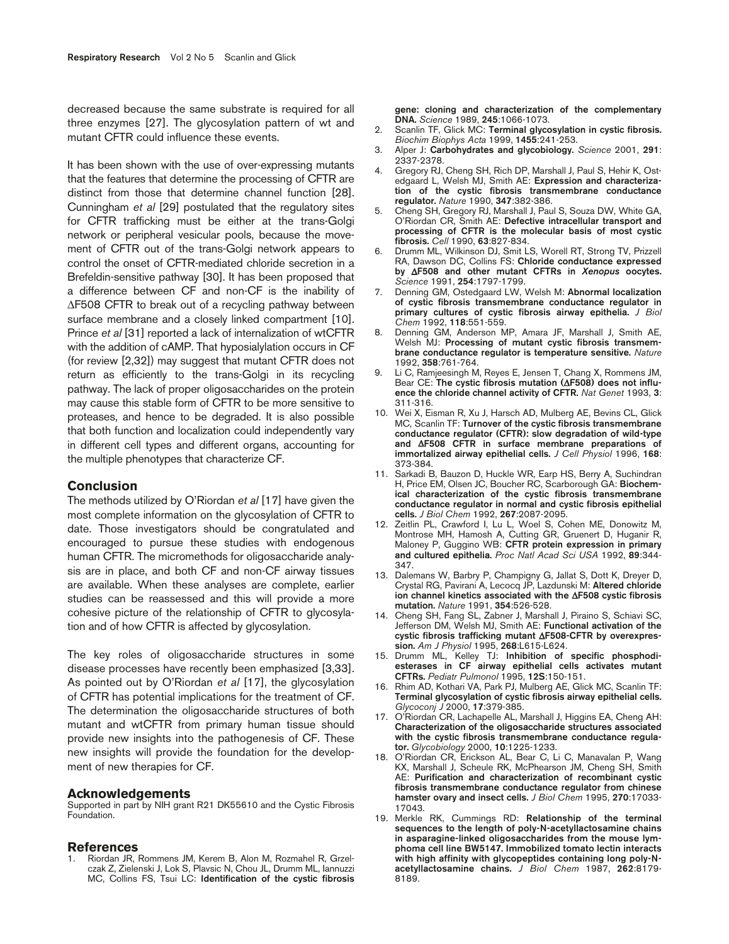decreased because the same substrate is required for all three enzymes [27]. The glycosylation pattern of wt and mutant CFTR could influence these events.

It has been shown with the use of over-expressing mutants that the features that determine the processing of CFTR are distinct from those that determine channel function [28]. Cunningham *et al* [29] postulated that the regulatory sites for CFTR trafficking must be either at the trans-Golgi network or peripheral vesicular pools, because the movement of CFTR out of the trans-Golgi network appears to control the onset of CFTR-mediated chloride secretion in a Brefeldin-sensitive pathway [30]. It has been proposed that a difference between CF and non-CF is the inability of ∆F508 CFTR to break out of a recycling pathway between surface membrane and a closely linked compartment [10]. Prince *et al* [31] reported a lack of internalization of wtCFTR with the addition of cAMP. That hyposialylation occurs in CF (for review [2,32]) may suggest that mutant CFTR does not return as efficiently to the trans-Golgi in its recycling pathway. The lack of proper oligosaccharides on the protein may cause this stable form of CFTR to be more sensitive to proteases, and hence to be degraded. It is also possible that both function and localization could independently vary in different cell types and different organs, accounting for the multiple phenotypes that characterize CF.

### **Conclusion**

The methods utilized by O'Riordan *et al* [17] have given the most complete information on the glycosylation of CFTR to date. Those investigators should be congratulated and encouraged to pursue these studies with endogenous human CFTR. The micromethods for oligosaccharide analysis are in place, and both CF and non-CF airway tissues are available. When these analyses are complete, earlier studies can be reassessed and this will provide a more cohesive picture of the relationship of CFTR to glycosylation and of how CFTR is affected by glycosylation.

The key roles of oligosaccharide structures in some disease processes have recently been emphasized [3,33]. As pointed out by O'Riordan *et al* [17], the glycosylation of CFTR has potential implications for the treatment of CF. The determination the oligosaccharide structures of both mutant and wtCFTR from primary human tissue should provide new insights into the pathogenesis of CF. These new insights will provide the foundation for the development of new therapies for CF.

#### **Acknowledgements**

Supported in part by NIH grant R21 DK55610 and the Cystic Fibrosis Foundation.

#### **References**

1. Riordan JR, Rommens JM, Kerem B, Alon M, Rozmahel R, Grzelczak Z, Zielenski J, Lok S, Plavsic N, Chou JL, Drumm ML, Iannuzzi MC, Collins FS, Tsui LC: **Identification of the cystic fibrosis** **gene: cloning and characterization of the complementary DNA.** *Science* 1989, **245**:1066-1073.

- 2. Scanlin TF, Glick MC: **Terminal glycosylation in cystic fibrosis.** *Biochim Biophys Acta* 1999, **1455**:241-253.
- 3. Alper J: **Carbohydrates and glycobiology.** *Science* 2001, **291**: 2337-2378.
- 4. Gregory RJ, Cheng SH, Rich DP, Marshall J, Paul S, Hehir K, Ostedgaard L, Welsh MJ, Smith AE: **Expression and characterization of the cystic fibrosis transmembrane conductance regulator.** *Nature* 1990, **347**:382-386.
- 5. Cheng SH, Gregory RJ, Marshall J, Paul S, Souza DW, White GA, O'Riordan CR, Smith AE: **Defective intracellular transport and processing of CFTR is the molecular basis of most cystic fibrosis.** *Cell* 1990, **63**:827-834.
- 6. Drumm ML, Wilkinson DJ, Smit LS, Worell RT, Strong TV, Prizzell RA, Dawson DC, Collins FS: **Chloride conductance expressed by** ∆**F508 and other mutant CFTRs in** *Xenopus* **oocytes.** *Science* 1991, **254**:1797-1799.
- 7. Denning GM, Ostedgaard LW, Welsh M: **Abnormal localization of cystic fibrosis transmembrane conductance regulator in primary cultures of cystic fibrosis airway epithelia.** *J Biol Chem* 1992, **118**:551-559.
- Denning GM, Anderson MP, Amara JF, Marshall J, Smith AE, Welsh MJ: **Processing of mutant cystic fibrosis transmembrane conductance regulator is temperature sensitive.** *Nature* 1992, **358**:761-764.
- 9. Li C, Ramjeesingh M, Reyes E, Jensen T, Chang X, Rommens JM, Bear CE: **The cystic fibrosis mutation (**∆**F508) does not influence the chloride channel activity of CFTR.** *Nat Genet* 1993, **3**: 311-316.
- 10. Wei X, Eisman R, Xu J, Harsch AD, Mulberg AE, Bevins CL, Glick MC, Scanlin TF: **Turnover of the cystic fibrosis transmembrane conductance regulator (CFTR): slow degradation of wild-type and** ∆**F508 CFTR in surface membrane preparations of immortalized airway epithelial cells.** *J Cell Physiol* 1996, **168**: 373-384.
- 11. Sarkadi B, Bauzon D, Huckle WR, Earp HS, Berry A, Suchindran H, Price EM, Olsen JC, Boucher RC, Scarborough GA: **Biochemical characterization of the cystic fibrosis transmembrane conductance regulator in normal and cystic fibrosis epithelial cells.** *J Biol Chem* 1992, **267**:2087-2095.
- 12. Zeitlin PL, Crawford I, Lu L, Woel S, Cohen ME, Donowitz M, Montrose MH, Hamosh A, Cutting GR, Gruenert D, Huganir R, Maloney P, Guggino WB: **CFTR protein expression in primary and cultured epithelia.** *Proc Natl Acad Sci USA* 1992, **89**:344- 347.
- 13. Dalemans W, Barbry P, Champigny G, Jallat S, Dott K, Dreyer D, Crystal RG, Pavirani A, Lecocq JP, Lazdunski M: **Altered chloride ion channel kinetics associated with the** ∆**F508 cystic fibrosis mutation.** *Nature* 1991, **354**:526-528.
- 14. Cheng SH, Fang SL, Zabner J, Marshall J, Piraino S, Schiavi SC, Jefferson DM, Welsh MJ, Smith AE: **Functional activation of the cystic fibrosis trafficking mutant** ∆**F508-CFTR by overexpression.** *Am J Physiol* 1995, **268**:L615-L624.
- 15. Drumm ML, Kelley TJ: **Inhibition of specific phosphodiesterases in CF airway epithelial cells activates mutant CFTRs.** *Pediatr Pulmonol* 1995, **12S**:150-151.
- 16. Rhim AD, Kothari VA, Park PJ, Mulberg AE, Glick MC, Scanlin TF: **Terminal glycosylation of cystic fibrosis airway epithelial cells.** *Glycoconj J* 2000, **17**:379-385.
- 17. O'Riordan CR, Lachapelle AL, Marshall J, Higgins EA, Cheng AH: **Characterization of the oligosaccharide structures associated with the cystic fibrosis transmembrane conductance regulator.** *Glycobiology* 2000, **10**:1225-1233.
- 18. O'Riordan CR, Erickson AL, Bear C, Li C, Manavalan P, Wang KX, Marshall J, Scheule RK, McPhearson JM, Cheng SH, Smith AE: **Purification and characterization of recombinant cystic fibrosis transmembrane conductance regulator from chinese hamster ovary and insect cells.** *J Biol Chem* 1995, **270**:17033- 17043.
- 19. Merkle RK, Cummings RD: **Relationship of the terminal sequences to the length of poly-N-acetyllactosamine chains in asparagine-linked oligosaccharides from the mouse lymphoma cell line BW5147. Immobilized tomato lectin interacts with high affinity with glycopeptides containing long poly-Nacetyllactosamine chains.** *J Biol Chem* 1987, **262**:8179- 8189.